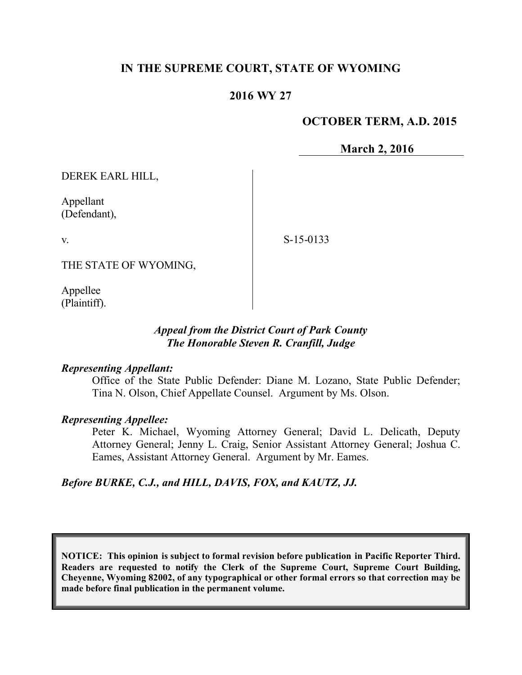## **IN THE SUPREME COURT, STATE OF WYOMING**

### **2016 WY 27**

#### **OCTOBER TERM, A.D. 2015**

**March 2, 2016**

DEREK EARL HILL,

Appellant (Defendant),

v.

S-15-0133

THE STATE OF WYOMING,

Appellee (Plaintiff).

#### *Appeal from the District Court of Park County The Honorable Steven R. Cranfill, Judge*

#### *Representing Appellant:*

Office of the State Public Defender: Diane M. Lozano, State Public Defender; Tina N. Olson, Chief Appellate Counsel. Argument by Ms. Olson.

#### *Representing Appellee:*

Peter K. Michael, Wyoming Attorney General; David L. Delicath, Deputy Attorney General; Jenny L. Craig, Senior Assistant Attorney General; Joshua C. Eames, Assistant Attorney General. Argument by Mr. Eames.

*Before BURKE, C.J., and HILL, DAVIS, FOX, and KAUTZ, JJ.*

**NOTICE: This opinion is subject to formal revision before publication in Pacific Reporter Third. Readers are requested to notify the Clerk of the Supreme Court, Supreme Court Building, Cheyenne, Wyoming 82002, of any typographical or other formal errors so that correction may be made before final publication in the permanent volume.**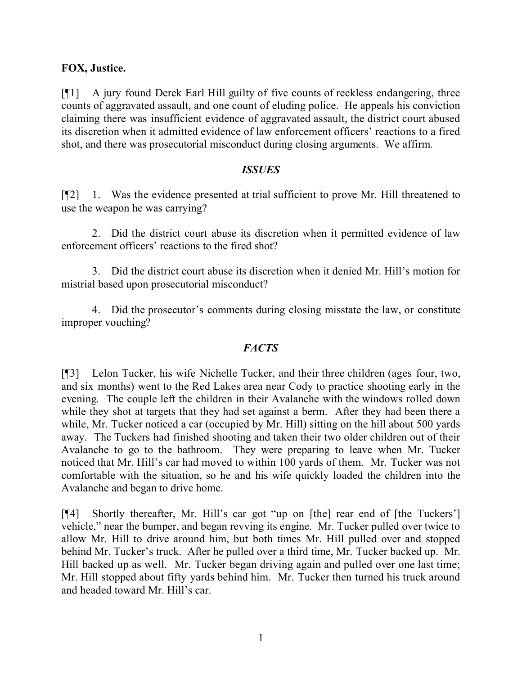### **FOX, Justice.**

[¶1] A jury found Derek Earl Hill guilty of five counts of reckless endangering, three counts of aggravated assault, and one count of eluding police. He appeals his conviction claiming there was insufficient evidence of aggravated assault, the district court abused its discretion when it admitted evidence of law enforcement officers' reactions to a fired shot, and there was prosecutorial misconduct during closing arguments. We affirm.

#### *ISSUES*

[¶2] 1. Was the evidence presented at trial sufficient to prove Mr. Hill threatened to use the weapon he was carrying?

2. Did the district court abuse its discretion when it permitted evidence of law enforcement officers' reactions to the fired shot?

3. Did the district court abuse its discretion when it denied Mr. Hill's motion for mistrial based upon prosecutorial misconduct?

4. Did the prosecutor's comments during closing misstate the law, or constitute improper vouching?

#### *FACTS*

[¶3] Lelon Tucker, his wife Nichelle Tucker, and their three children (ages four, two, and six months) went to the Red Lakes area near Cody to practice shooting early in the evening. The couple left the children in their Avalanche with the windows rolled down while they shot at targets that they had set against a berm. After they had been there a while, Mr. Tucker noticed a car (occupied by Mr. Hill) sitting on the hill about 500 yards away. The Tuckers had finished shooting and taken their two older children out of their Avalanche to go to the bathroom. They were preparing to leave when Mr. Tucker noticed that Mr. Hill's car had moved to within 100 yards of them. Mr. Tucker was not comfortable with the situation, so he and his wife quickly loaded the children into the Avalanche and began to drive home.

[¶4] Shortly thereafter, Mr. Hill's car got "up on [the] rear end of [the Tuckers'] vehicle," near the bumper, and began revving its engine. Mr. Tucker pulled over twice to allow Mr. Hill to drive around him, but both times Mr. Hill pulled over and stopped behind Mr. Tucker's truck. After he pulled over a third time, Mr. Tucker backed up. Mr. Hill backed up as well. Mr. Tucker began driving again and pulled over one last time; Mr. Hill stopped about fifty yards behind him. Mr. Tucker then turned his truck around and headed toward Mr. Hill's car.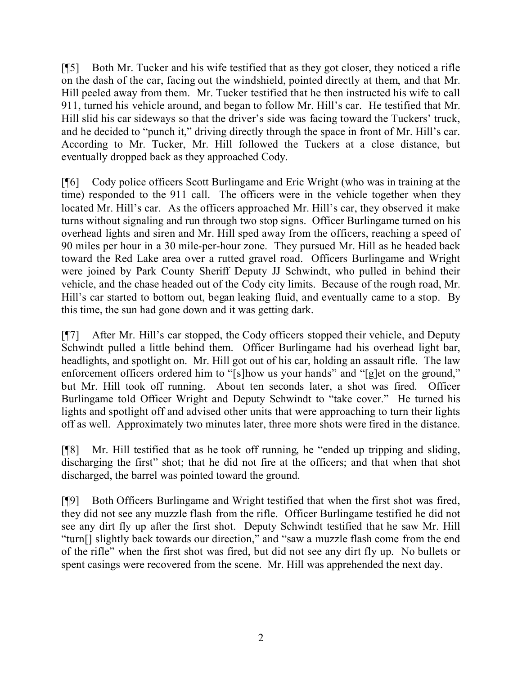[¶5] Both Mr. Tucker and his wife testified that as they got closer, they noticed a rifle on the dash of the car, facing out the windshield, pointed directly at them, and that Mr. Hill peeled away from them. Mr. Tucker testified that he then instructed his wife to call 911, turned his vehicle around, and began to follow Mr. Hill's car. He testified that Mr. Hill slid his car sideways so that the driver's side was facing toward the Tuckers' truck, and he decided to "punch it," driving directly through the space in front of Mr. Hill's car. According to Mr. Tucker, Mr. Hill followed the Tuckers at a close distance, but eventually dropped back as they approached Cody.

[¶6] Cody police officers Scott Burlingame and Eric Wright (who was in training at the time) responded to the 911 call. The officers were in the vehicle together when they located Mr. Hill's car. As the officers approached Mr. Hill's car, they observed it make turns without signaling and run through two stop signs. Officer Burlingame turned on his overhead lights and siren and Mr. Hill sped away from the officers, reaching a speed of 90 miles per hour in a 30 mile-per-hour zone. They pursued Mr. Hill as he headed back toward the Red Lake area over a rutted gravel road. Officers Burlingame and Wright were joined by Park County Sheriff Deputy JJ Schwindt, who pulled in behind their vehicle, and the chase headed out of the Cody city limits. Because of the rough road, Mr. Hill's car started to bottom out, began leaking fluid, and eventually came to a stop. By this time, the sun had gone down and it was getting dark.

[¶7] After Mr. Hill's car stopped, the Cody officers stopped their vehicle, and Deputy Schwindt pulled a little behind them. Officer Burlingame had his overhead light bar, headlights, and spotlight on. Mr. Hill got out of his car, holding an assault rifle. The law enforcement officers ordered him to "[s]how us your hands" and "[g]et on the ground," but Mr. Hill took off running. About ten seconds later, a shot was fired. Officer Burlingame told Officer Wright and Deputy Schwindt to "take cover." He turned his lights and spotlight off and advised other units that were approaching to turn their lights off as well. Approximately two minutes later, three more shots were fired in the distance.

[¶8] Mr. Hill testified that as he took off running, he "ended up tripping and sliding, discharging the first" shot; that he did not fire at the officers; and that when that shot discharged, the barrel was pointed toward the ground.

[¶9] Both Officers Burlingame and Wright testified that when the first shot was fired, they did not see any muzzle flash from the rifle. Officer Burlingame testified he did not see any dirt fly up after the first shot. Deputy Schwindt testified that he saw Mr. Hill "turn[] slightly back towards our direction," and "saw a muzzle flash come from the end of the rifle" when the first shot was fired, but did not see any dirt fly up. No bullets or spent casings were recovered from the scene. Mr. Hill was apprehended the next day.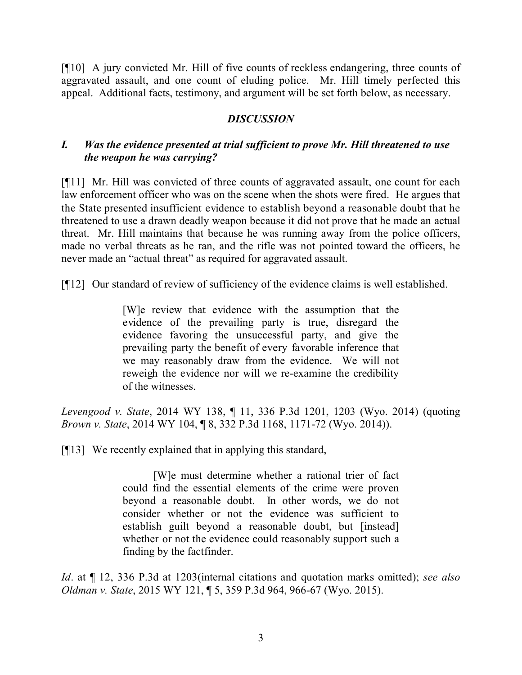[¶10] A jury convicted Mr. Hill of five counts of reckless endangering, three counts of aggravated assault, and one count of eluding police. Mr. Hill timely perfected this appeal. Additional facts, testimony, and argument will be set forth below, as necessary.

### *DISCUSSION*

## *I. Was the evidence presented at trial sufficient to prove Mr. Hill threatened to use the weapon he was carrying?*

[¶11] Mr. Hill was convicted of three counts of aggravated assault, one count for each law enforcement officer who was on the scene when the shots were fired. He argues that the State presented insufficient evidence to establish beyond a reasonable doubt that he threatened to use a drawn deadly weapon because it did not prove that he made an actual threat. Mr. Hill maintains that because he was running away from the police officers, made no verbal threats as he ran, and the rifle was not pointed toward the officers, he never made an "actual threat" as required for aggravated assault.

[¶12] Our standard of review of sufficiency of the evidence claims is well established.

[W]e review that evidence with the assumption that the evidence of the prevailing party is true, disregard the evidence favoring the unsuccessful party, and give the prevailing party the benefit of every favorable inference that we may reasonably draw from the evidence. We will not reweigh the evidence nor will we re-examine the credibility of the witnesses.

*Levengood v. State*, 2014 WY 138, ¶ 11, 336 P.3d 1201, 1203 (Wyo. 2014) (quoting *Brown v. State*, 2014 WY 104, ¶ 8, 332 P.3d 1168, 1171-72 (Wyo. 2014)).

[¶13] We recently explained that in applying this standard,

[W]e must determine whether a rational trier of fact could find the essential elements of the crime were proven beyond a reasonable doubt. In other words, we do not consider whether or not the evidence was sufficient to establish guilt beyond a reasonable doubt, but [instead] whether or not the evidence could reasonably support such a finding by the factfinder.

*Id*. at ¶ 12, 336 P.3d at 1203(internal citations and quotation marks omitted); *see also Oldman v. State*, 2015 WY 121, ¶ 5, 359 P.3d 964, 966-67 (Wyo. 2015).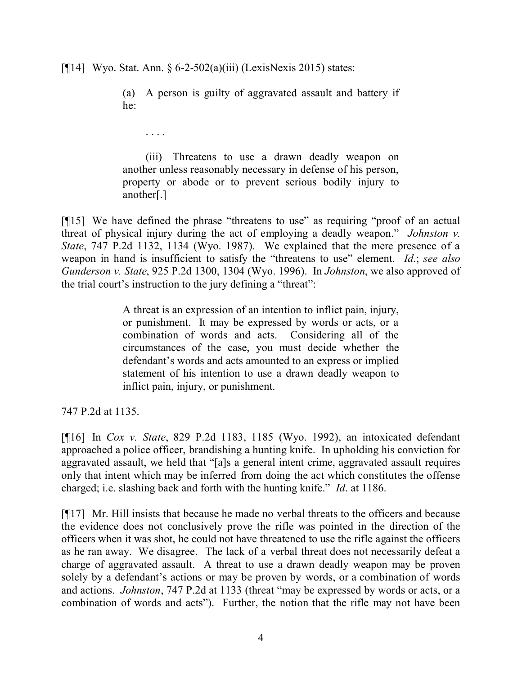[ $[14]$  Wyo. Stat. Ann. § 6-2-502(a)(iii) (LexisNexis 2015) states:

. . . .

(a) A person is guilty of aggravated assault and battery if he:

(iii) Threatens to use a drawn deadly weapon on another unless reasonably necessary in defense of his person, property or abode or to prevent serious bodily injury to another[.]

[¶15] We have defined the phrase "threatens to use" as requiring "proof of an actual threat of physical injury during the act of employing a deadly weapon." *Johnston v. State*, 747 P.2d 1132, 1134 (Wyo. 1987). We explained that the mere presence of a weapon in hand is insufficient to satisfy the "threatens to use" element. *Id*.; *see also Gunderson v. State*, 925 P.2d 1300, 1304 (Wyo. 1996). In *Johnston*, we also approved of the trial court's instruction to the jury defining a "threat":

> A threat is an expression of an intention to inflict pain, injury, or punishment. It may be expressed by words or acts, or a combination of words and acts. Considering all of the circumstances of the case, you must decide whether the defendant's words and acts amounted to an express or implied statement of his intention to use a drawn deadly weapon to inflict pain, injury, or punishment.

747 P.2d at 1135.

[¶16] In *Cox v. State*, 829 P.2d 1183, 1185 (Wyo. 1992), an intoxicated defendant approached a police officer, brandishing a hunting knife. In upholding his conviction for aggravated assault, we held that "[a]s a general intent crime, aggravated assault requires only that intent which may be inferred from doing the act which constitutes the offense charged; i.e. slashing back and forth with the hunting knife." *Id*. at 1186.

[¶17] Mr. Hill insists that because he made no verbal threats to the officers and because the evidence does not conclusively prove the rifle was pointed in the direction of the officers when it was shot, he could not have threatened to use the rifle against the officers as he ran away. We disagree. The lack of a verbal threat does not necessarily defeat a charge of aggravated assault. A threat to use a drawn deadly weapon may be proven solely by a defendant's actions or may be proven by words, or a combination of words and actions. *Johnston*, 747 P.2d at 1133 (threat "may be expressed by words or acts, or a combination of words and acts"). Further, the notion that the rifle may not have been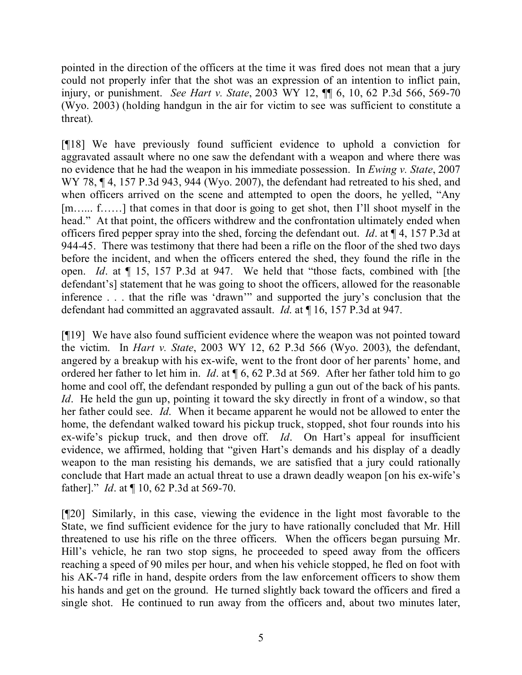pointed in the direction of the officers at the time it was fired does not mean that a jury could not properly infer that the shot was an expression of an intention to inflict pain, injury, or punishment. *See Hart v. State*, 2003 WY 12, ¶¶ 6, 10, 62 P.3d 566, 569-70 (Wyo. 2003) (holding handgun in the air for victim to see was sufficient to constitute a threat).

[¶18] We have previously found sufficient evidence to uphold a conviction for aggravated assault where no one saw the defendant with a weapon and where there was no evidence that he had the weapon in his immediate possession. In *Ewing v. State*, 2007 WY 78,  $\P$  4, 157 P.3d 943, 944 (Wyo. 2007), the defendant had retreated to his shed, and when officers arrived on the scene and attempted to open the doors, he yelled, "Any [m…... f……] that comes in that door is going to get shot, then I'll shoot myself in the head." At that point, the officers withdrew and the confrontation ultimately ended when officers fired pepper spray into the shed, forcing the defendant out. *Id*. at ¶ 4, 157 P.3d at 944-45. There was testimony that there had been a rifle on the floor of the shed two days before the incident, and when the officers entered the shed, they found the rifle in the open. *Id*. at ¶ 15, 157 P.3d at 947. We held that "those facts, combined with [the defendant's] statement that he was going to shoot the officers, allowed for the reasonable inference . . . that the rifle was 'drawn'" and supported the jury's conclusion that the defendant had committed an aggravated assault. *Id*. at ¶ 16, 157 P.3d at 947.

[¶19] We have also found sufficient evidence where the weapon was not pointed toward the victim. In *Hart v. State*, 2003 WY 12, 62 P.3d 566 (Wyo. 2003), the defendant, angered by a breakup with his ex-wife, went to the front door of her parents' home, and ordered her father to let him in. *Id*. at ¶ 6, 62 P.3d at 569. After her father told him to go home and cool off, the defendant responded by pulling a gun out of the back of his pants. *Id.* He held the gun up, pointing it toward the sky directly in front of a window, so that her father could see. *Id*. When it became apparent he would not be allowed to enter the home, the defendant walked toward his pickup truck, stopped, shot four rounds into his ex-wife's pickup truck, and then drove off. *Id*. On Hart's appeal for insufficient evidence, we affirmed, holding that "given Hart's demands and his display of a deadly weapon to the man resisting his demands, we are satisfied that a jury could rationally conclude that Hart made an actual threat to use a drawn deadly weapon [on his ex-wife's father]." *Id*. at ¶ 10, 62 P.3d at 569-70.

[¶20] Similarly, in this case, viewing the evidence in the light most favorable to the State, we find sufficient evidence for the jury to have rationally concluded that Mr. Hill threatened to use his rifle on the three officers. When the officers began pursuing Mr. Hill's vehicle, he ran two stop signs, he proceeded to speed away from the officers reaching a speed of 90 miles per hour, and when his vehicle stopped, he fled on foot with his AK-74 rifle in hand, despite orders from the law enforcement officers to show them his hands and get on the ground. He turned slightly back toward the officers and fired a single shot. He continued to run away from the officers and, about two minutes later,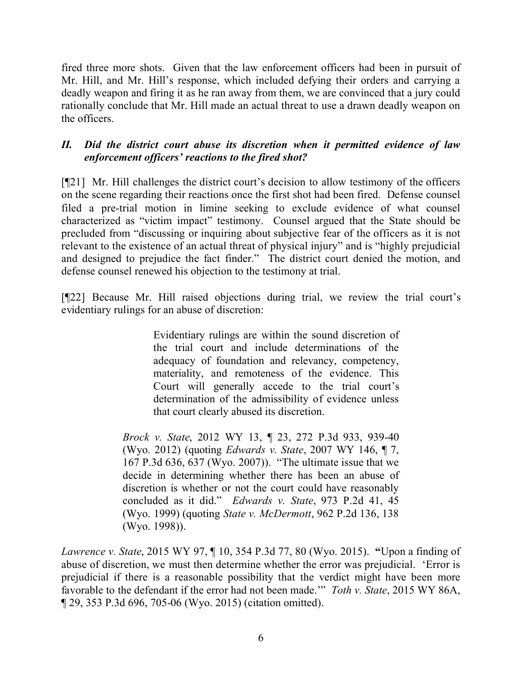fired three more shots. Given that the law enforcement officers had been in pursuit of Mr. Hill, and Mr. Hill's response, which included defying their orders and carrying a deadly weapon and firing it as he ran away from them, we are convinced that a jury could rationally conclude that Mr. Hill made an actual threat to use a drawn deadly weapon on the officers.

## *II. Did the district court abuse its discretion when it permitted evidence of law enforcement officers' reactions to the fired shot?*

[¶21] Mr. Hill challenges the district court's decision to allow testimony of the officers on the scene regarding their reactions once the first shot had been fired. Defense counsel filed a pre-trial motion in limine seeking to exclude evidence of what counsel characterized as "victim impact" testimony. Counsel argued that the State should be precluded from "discussing or inquiring about subjective fear of the officers as it is not relevant to the existence of an actual threat of physical injury" and is "highly prejudicial and designed to prejudice the fact finder." The district court denied the motion, and defense counsel renewed his objection to the testimony at trial.

[¶22] Because Mr. Hill raised objections during trial, we review the trial court's evidentiary rulings for an abuse of discretion:

> Evidentiary rulings are within the sound discretion of the trial court and include determinations of the adequacy of foundation and relevancy, competency, materiality, and remoteness of the evidence. This Court will generally accede to the trial court's determination of the admissibility of evidence unless that court clearly abused its discretion.

*Brock v. State*, 2012 WY 13, ¶ 23, 272 P.3d 933, 939-40 (Wyo. 2012) (quoting *Edwards v. State*, 2007 WY 146, ¶ 7, 167 P.3d 636, 637 (Wyo. 2007)). "The ultimate issue that we decide in determining whether there has been an abuse of discretion is whether or not the court could have reasonably concluded as it did." *Edwards v. State*, 973 P.2d 41, 45 (Wyo. 1999) (quoting *State v. McDermott*, 962 P.2d 136, 138 (Wyo. 1998)).

*Lawrence v. State*, 2015 WY 97, ¶ 10, 354 P.3d 77, 80 (Wyo. 2015). **"**Upon a finding of abuse of discretion, we must then determine whether the error was prejudicial. 'Error is prejudicial if there is a reasonable possibility that the verdict might have been more favorable to the defendant if the error had not been made.'" *Toth v. State*, 2015 WY 86A, ¶ 29, 353 P.3d 696, 705-06 (Wyo. 2015) (citation omitted).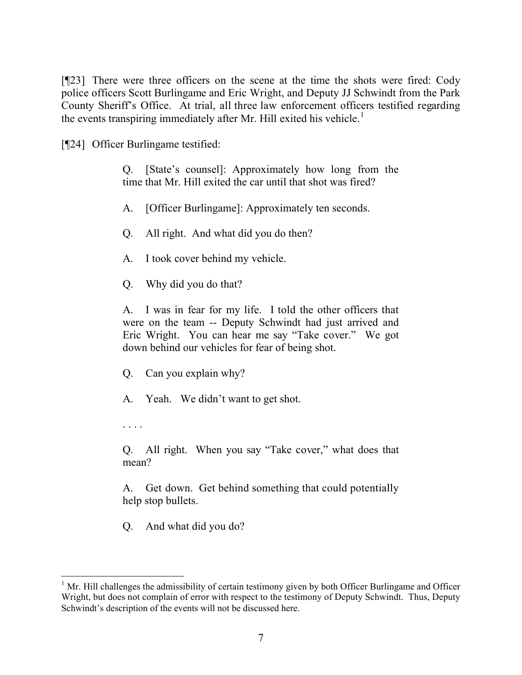[¶23] There were three officers on the scene at the time the shots were fired: Cody police officers Scott Burlingame and Eric Wright, and Deputy JJ Schwindt from the Park County Sheriff's Office. At trial, all three law enforcement officers testified regarding the events transpiring immediately after Mr. Hill exited his vehicle.<sup>1</sup>

[¶24] Officer Burlingame testified:

Q. [State's counsel]: Approximately how long from the time that Mr. Hill exited the car until that shot was fired?

A. [Officer Burlingame]: Approximately ten seconds.

Q. All right. And what did you do then?

- A. I took cover behind my vehicle.
- Q. Why did you do that?

A. I was in fear for my life. I told the other officers that were on the team -- Deputy Schwindt had just arrived and Eric Wright. You can hear me say "Take cover." We got down behind our vehicles for fear of being shot.

Q. Can you explain why?

A. Yeah. We didn't want to get shot.

. . . .

Q. All right. When you say "Take cover," what does that mean?

A. Get down. Get behind something that could potentially help stop bullets.

Q. And what did you do?

  $1$  Mr. Hill challenges the admissibility of certain testimony given by both Officer Burlingame and Officer Wright, but does not complain of error with respect to the testimony of Deputy Schwindt. Thus, Deputy Schwindt's description of the events will not be discussed here.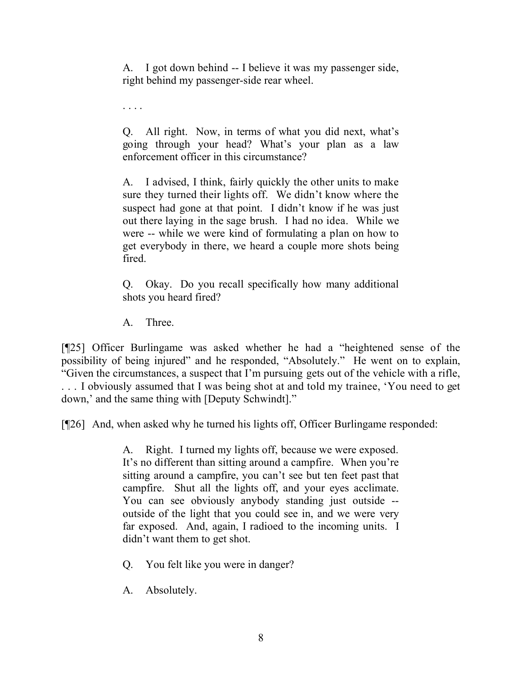A. I got down behind -- I believe it was my passenger side, right behind my passenger-side rear wheel.

. . . .

Q. All right. Now, in terms of what you did next, what's going through your head? What's your plan as a law enforcement officer in this circumstance?

A. I advised, I think, fairly quickly the other units to make sure they turned their lights off. We didn't know where the suspect had gone at that point. I didn't know if he was just out there laying in the sage brush. I had no idea. While we were -- while we were kind of formulating a plan on how to get everybody in there, we heard a couple more shots being fired.

Q. Okay. Do you recall specifically how many additional shots you heard fired?

A. Three.

[¶25] Officer Burlingame was asked whether he had a "heightened sense of the possibility of being injured" and he responded, "Absolutely." He went on to explain, "Given the circumstances, a suspect that I'm pursuing gets out of the vehicle with a rifle, . . . I obviously assumed that I was being shot at and told my trainee, 'You need to get down,' and the same thing with [Deputy Schwindt]."

[¶26] And, when asked why he turned his lights off, Officer Burlingame responded:

A. Right. I turned my lights off, because we were exposed. It's no different than sitting around a campfire. When you're sitting around a campfire, you can't see but ten feet past that campfire. Shut all the lights off, and your eyes acclimate. You can see obviously anybody standing just outside - outside of the light that you could see in, and we were very far exposed. And, again, I radioed to the incoming units. I didn't want them to get shot.

Q. You felt like you were in danger?

A. Absolutely.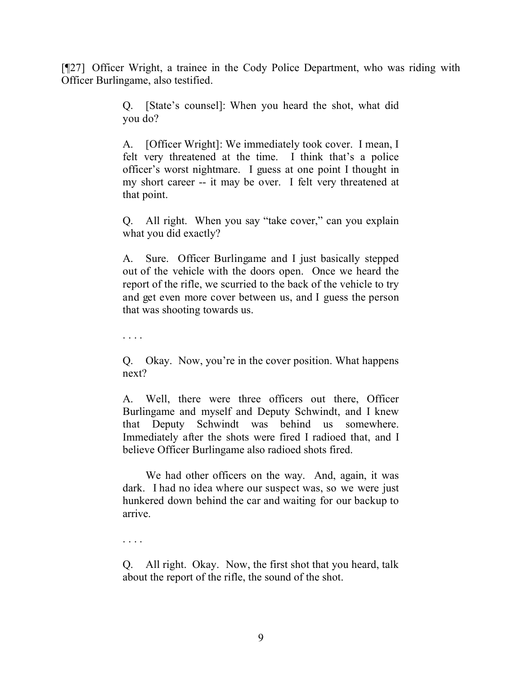[¶27] Officer Wright, a trainee in the Cody Police Department, who was riding with Officer Burlingame, also testified.

> Q. [State's counsel]: When you heard the shot, what did you do?

> A. [Officer Wright]: We immediately took cover. I mean, I felt very threatened at the time. I think that's a police officer's worst nightmare. I guess at one point I thought in my short career -- it may be over. I felt very threatened at that point.

> Q. All right. When you say "take cover," can you explain what you did exactly?

> A. Sure. Officer Burlingame and I just basically stepped out of the vehicle with the doors open. Once we heard the report of the rifle, we scurried to the back of the vehicle to try and get even more cover between us, and I guess the person that was shooting towards us.

. . . .

Q. Okay. Now, you're in the cover position. What happens next?

A. Well, there were three officers out there, Officer Burlingame and myself and Deputy Schwindt, and I knew that Deputy Schwindt was behind us somewhere. Immediately after the shots were fired I radioed that, and I believe Officer Burlingame also radioed shots fired.

We had other officers on the way. And, again, it was dark. I had no idea where our suspect was, so we were just hunkered down behind the car and waiting for our backup to arrive.

. . . .

Q. All right. Okay. Now, the first shot that you heard, talk about the report of the rifle, the sound of the shot.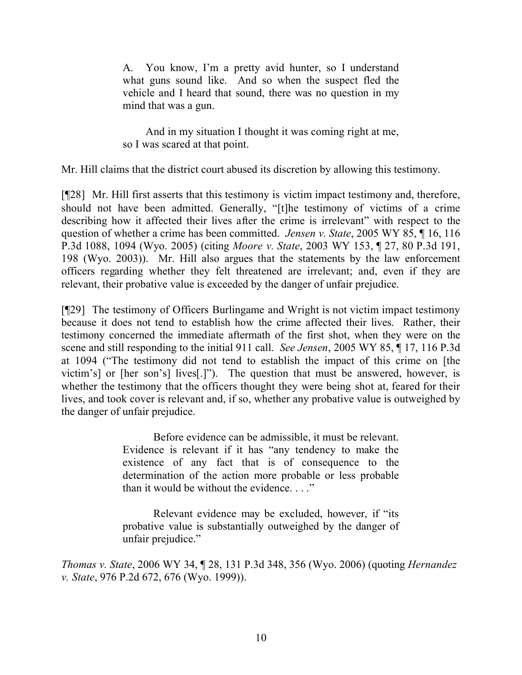A. You know, I'm a pretty avid hunter, so I understand what guns sound like. And so when the suspect fled the vehicle and I heard that sound, there was no question in my mind that was a gun.

And in my situation I thought it was coming right at me, so I was scared at that point.

Mr. Hill claims that the district court abused its discretion by allowing this testimony.

[¶28] Mr. Hill first asserts that this testimony is victim impact testimony and, therefore, should not have been admitted. Generally, "[t]he testimony of victims of a crime describing how it affected their lives after the crime is irrelevant" with respect to the question of whether a crime has been committed. *Jensen v. State*, 2005 WY 85, ¶ 16, 116 P.3d 1088, 1094 (Wyo. 2005) (citing *Moore v. State*, 2003 WY 153, ¶ 27, 80 P.3d 191, 198 (Wyo. 2003)). Mr. Hill also argues that the statements by the law enforcement officers regarding whether they felt threatened are irrelevant; and, even if they are relevant, their probative value is exceeded by the danger of unfair prejudice.

[¶29] The testimony of Officers Burlingame and Wright is not victim impact testimony because it does not tend to establish how the crime affected their lives. Rather, their testimony concerned the immediate aftermath of the first shot, when they were on the scene and still responding to the initial 911 call. *See Jensen*, 2005 WY 85, ¶ 17, 116 P.3d at 1094 ("The testimony did not tend to establish the impact of this crime on [the victim's] or [her son's] lives[.]"). The question that must be answered, however, is whether the testimony that the officers thought they were being shot at, feared for their lives, and took cover is relevant and, if so, whether any probative value is outweighed by the danger of unfair prejudice.

> Before evidence can be admissible, it must be relevant. Evidence is relevant if it has "any tendency to make the existence of any fact that is of consequence to the determination of the action more probable or less probable than it would be without the evidence. . . ."

> Relevant evidence may be excluded, however, if "its probative value is substantially outweighed by the danger of unfair prejudice."

*Thomas v. State*, 2006 WY 34, ¶ 28, 131 P.3d 348, 356 (Wyo. 2006) (quoting *Hernandez v. State*, 976 P.2d 672, 676 (Wyo. 1999)).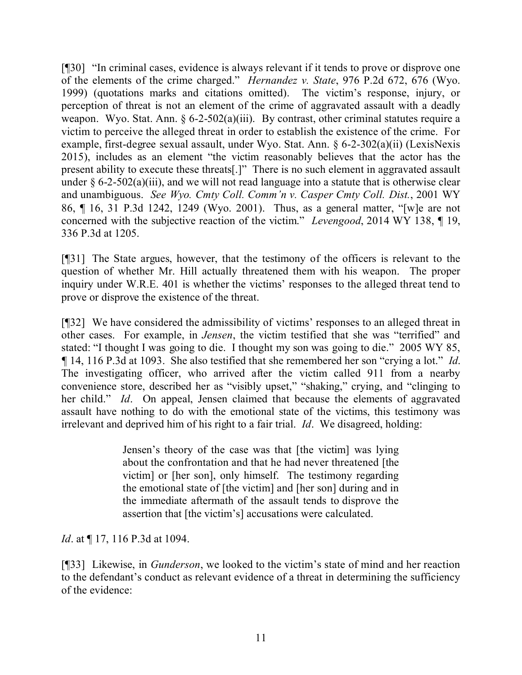[¶30] "In criminal cases, evidence is always relevant if it tends to prove or disprove one of the elements of the crime charged." *Hernandez v. State*, 976 P.2d 672, 676 (Wyo. 1999) (quotations marks and citations omitted). The victim's response, injury, or perception of threat is not an element of the crime of aggravated assault with a deadly weapon. Wyo. Stat. Ann.  $\frac{6-2-502(a)(iii)}{2}$ . By contrast, other criminal statutes require a victim to perceive the alleged threat in order to establish the existence of the crime. For example, first-degree sexual assault, under Wyo. Stat. Ann. § 6-2-302(a)(ii) (LexisNexis 2015), includes as an element "the victim reasonably believes that the actor has the present ability to execute these threats[.]" There is no such element in aggravated assault under  $\S 6$ -2-502(a)(iii), and we will not read language into a statute that is otherwise clear and unambiguous. *See Wyo. Cmty Coll. Comm'n v. Casper Cmty Coll. Dist.*, 2001 WY 86, ¶ 16, 31 P.3d 1242, 1249 (Wyo. 2001). Thus, as a general matter, "[w]e are not concerned with the subjective reaction of the victim." *Levengood*, 2014 WY 138, ¶ 19, 336 P.3d at 1205.

[¶31] The State argues, however, that the testimony of the officers is relevant to the question of whether Mr. Hill actually threatened them with his weapon. The proper inquiry under W.R.E. 401 is whether the victims' responses to the alleged threat tend to prove or disprove the existence of the threat.

[¶32] We have considered the admissibility of victims' responses to an alleged threat in other cases. For example, in *Jensen*, the victim testified that she was "terrified" and stated: "I thought I was going to die. I thought my son was going to die." 2005 WY 85, *¶* 14, 116 P.3d at 1093. She also testified that she remembered her son "crying a lot." *Id*. The investigating officer, who arrived after the victim called 911 from a nearby convenience store, described her as "visibly upset," "shaking," crying, and "clinging to her child." *Id*. On appeal, Jensen claimed that because the elements of aggravated assault have nothing to do with the emotional state of the victims, this testimony was irrelevant and deprived him of his right to a fair trial. *Id*. We disagreed, holding:

> Jensen's theory of the case was that [the victim] was lying about the confrontation and that he had never threatened [the victim] or [her son], only himself. The testimony regarding the emotional state of [the victim] and [her son] during and in the immediate aftermath of the assault tends to disprove the assertion that [the victim's] accusations were calculated.

*Id.* at  $\P$  17, 116 P.3d at 1094.

[¶33] Likewise, in *Gunderson*, we looked to the victim's state of mind and her reaction to the defendant's conduct as relevant evidence of a threat in determining the sufficiency of the evidence: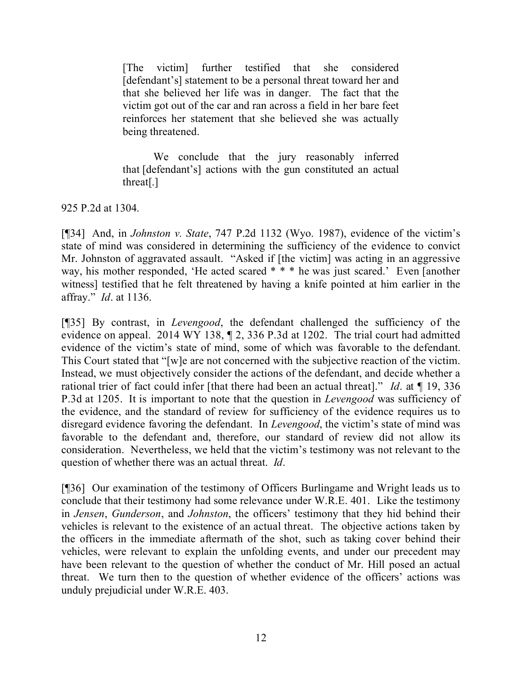[The victim] further testified that she considered [defendant's] statement to be a personal threat toward her and that she believed her life was in danger. The fact that the victim got out of the car and ran across a field in her bare feet reinforces her statement that she believed she was actually being threatened.

We conclude that the jury reasonably inferred that [defendant's] actions with the gun constituted an actual threat[.]

925 P.2d at 1304.

[¶34] And, in *Johnston v. State*, 747 P.2d 1132 (Wyo. 1987), evidence of the victim's state of mind was considered in determining the sufficiency of the evidence to convict Mr. Johnston of aggravated assault. "Asked if [the victim] was acting in an aggressive way, his mother responded, 'He acted scared \* \* \* he was just scared.' Even [another witness] testified that he felt threatened by having a knife pointed at him earlier in the affray." *Id*. at 1136.

[¶35] By contrast, in *Levengood*, the defendant challenged the sufficiency of the evidence on appeal. 2014 WY 138, ¶ 2, 336 P.3d at 1202. The trial court had admitted evidence of the victim's state of mind, some of which was favorable to the defendant. This Court stated that "[w]e are not concerned with the subjective reaction of the victim. Instead, we must objectively consider the actions of the defendant, and decide whether a rational trier of fact could infer [that there had been an actual threat]." *Id*. at ¶ 19, 336 P.3d at 1205. It is important to note that the question in *Levengood* was sufficiency of the evidence, and the standard of review for sufficiency of the evidence requires us to disregard evidence favoring the defendant. In *Levengood*, the victim's state of mind was favorable to the defendant and, therefore, our standard of review did not allow its consideration. Nevertheless, we held that the victim's testimony was not relevant to the question of whether there was an actual threat. *Id*.

[¶36] Our examination of the testimony of Officers Burlingame and Wright leads us to conclude that their testimony had some relevance under W.R.E. 401. Like the testimony in *Jensen*, *Gunderson*, and *Johnston*, the officers' testimony that they hid behind their vehicles is relevant to the existence of an actual threat. The objective actions taken by the officers in the immediate aftermath of the shot, such as taking cover behind their vehicles, were relevant to explain the unfolding events, and under our precedent may have been relevant to the question of whether the conduct of Mr. Hill posed an actual threat. We turn then to the question of whether evidence of the officers' actions was unduly prejudicial under W.R.E. 403.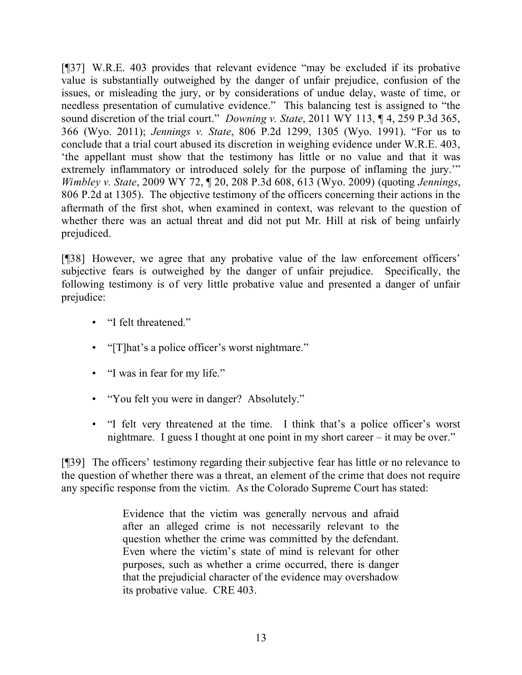[¶37] W.R.E. 403 provides that relevant evidence "may be excluded if its probative value is substantially outweighed by the danger of unfair prejudice, confusion of the issues, or misleading the jury, or by considerations of undue delay, waste of time, or needless presentation of cumulative evidence." This balancing test is assigned to "the sound discretion of the trial court." *Downing v. State*, 2011 WY 113, ¶ 4, 259 P.3d 365, 366 (Wyo. 2011); *Jennings v. State*, 806 P.2d 1299, 1305 (Wyo. 1991). "For us to conclude that a trial court abused its discretion in weighing evidence under W.R.E. 403, 'the appellant must show that the testimony has little or no value and that it was extremely inflammatory or introduced solely for the purpose of inflaming the jury." *Wimbley v. State*, 2009 WY 72, ¶ 20, 208 P.3d 608, 613 (Wyo. 2009) (quoting *Jennings*, 806 P.2d at 1305). The objective testimony of the officers concerning their actions in the aftermath of the first shot, when examined in context, was relevant to the question of whether there was an actual threat and did not put Mr. Hill at risk of being unfairly prejudiced.

[¶38] However, we agree that any probative value of the law enforcement officers' subjective fears is outweighed by the danger of unfair prejudice. Specifically, the following testimony is of very little probative value and presented a danger of unfair prejudice:

- "I felt threatened."
- "[T]hat's a police officer's worst nightmare."
- "I was in fear for my life."
- "You felt you were in danger? Absolutely."
- "I felt very threatened at the time. I think that's a police officer's worst nightmare. I guess I thought at one point in my short career – it may be over."

[¶39] The officers' testimony regarding their subjective fear has little or no relevance to the question of whether there was a threat, an element of the crime that does not require any specific response from the victim. As the Colorado Supreme Court has stated:

> Evidence that the victim was generally nervous and afraid after an alleged crime is not necessarily relevant to the question whether the crime was committed by the defendant. Even where the victim's state of mind is relevant for other purposes, such as whether a crime occurred, there is danger that the prejudicial character of the evidence may overshadow its probative value. CRE 403.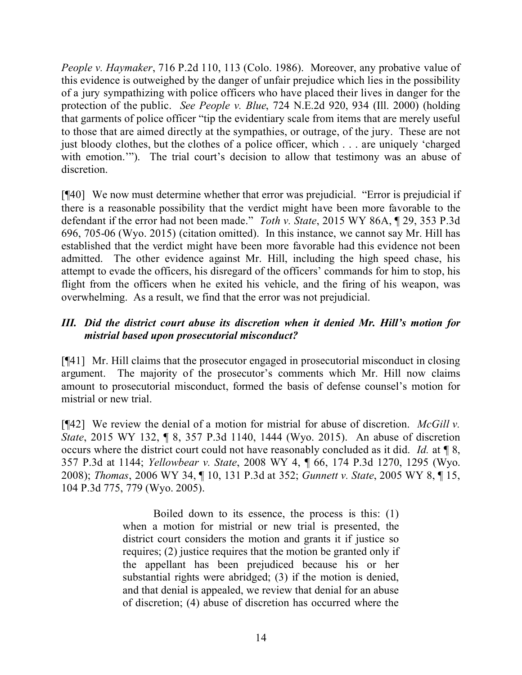*People v. Haymaker*, 716 P.2d 110, 113 (Colo. 1986). Moreover, any probative value of this evidence is outweighed by the danger of unfair prejudice which lies in the possibility of a jury sympathizing with police officers who have placed their lives in danger for the protection of the public. *See People v. Blue*, 724 N.E.2d 920, 934 (Ill. 2000) (holding that garments of police officer "tip the evidentiary scale from items that are merely useful to those that are aimed directly at the sympathies, or outrage, of the jury. These are not just bloody clothes, but the clothes of a police officer, which . . . are uniquely 'charged with emotion."). The trial court's decision to allow that testimony was an abuse of discretion.

[¶40] We now must determine whether that error was prejudicial. "Error is prejudicial if there is a reasonable possibility that the verdict might have been more favorable to the defendant if the error had not been made." *Toth v. State*, 2015 WY 86A, ¶ 29, 353 P.3d 696, 705-06 (Wyo. 2015) (citation omitted). In this instance, we cannot say Mr. Hill has established that the verdict might have been more favorable had this evidence not been admitted. The other evidence against Mr. Hill, including the high speed chase, his attempt to evade the officers, his disregard of the officers' commands for him to stop, his flight from the officers when he exited his vehicle, and the firing of his weapon, was overwhelming. As a result, we find that the error was not prejudicial.

## *III. Did the district court abuse its discretion when it denied Mr. Hill's motion for mistrial based upon prosecutorial misconduct?*

[¶41] Mr. Hill claims that the prosecutor engaged in prosecutorial misconduct in closing argument. The majority of the prosecutor's comments which Mr. Hill now claims amount to prosecutorial misconduct, formed the basis of defense counsel's motion for mistrial or new trial.

[¶42] We review the denial of a motion for mistrial for abuse of discretion. *McGill v. State*, 2015 WY 132, ¶ 8, 357 P.3d 1140, 1444 (Wyo. 2015). An abuse of discretion occurs where the district court could not have reasonably concluded as it did. *Id.* at ¶ 8, 357 P.3d at 1144; *Yellowbear v. State*, 2008 WY 4, ¶ 66, 174 P.3d 1270, 1295 (Wyo. 2008); *Thomas*, 2006 WY 34, ¶ 10, 131 P.3d at 352; *Gunnett v. State*, 2005 WY 8, ¶ 15, 104 P.3d 775, 779 (Wyo. 2005).

> Boiled down to its essence, the process is this: (1) when a motion for mistrial or new trial is presented, the district court considers the motion and grants it if justice so requires; (2) justice requires that the motion be granted only if the appellant has been prejudiced because his or her substantial rights were abridged; (3) if the motion is denied, and that denial is appealed, we review that denial for an abuse of discretion; (4) abuse of discretion has occurred where the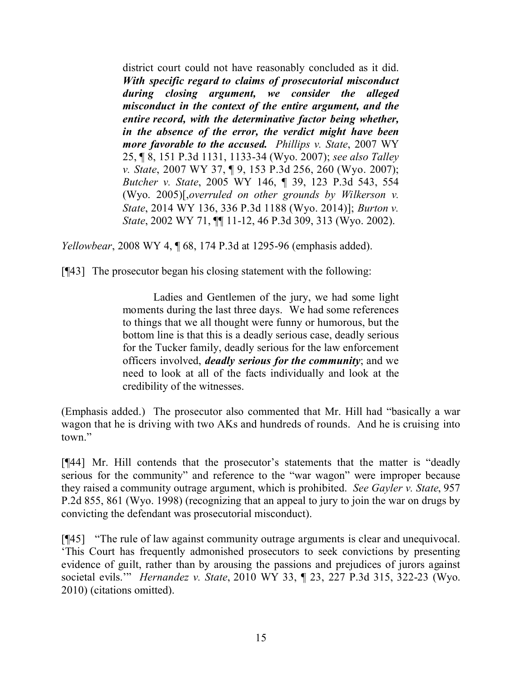district court could not have reasonably concluded as it did. *With specific regard to claims of prosecutorial misconduct during closing argument, we consider the alleged misconduct in the context of the entire argument, and the entire record, with the determinative factor being whether, in the absence of the error, the verdict might have been more favorable to the accused. Phillips v. State*, 2007 WY 25, ¶ 8, 151 P.3d 1131, 1133-34 (Wyo. 2007); *see also Talley v. State*, 2007 WY 37, ¶ 9, 153 P.3d 256, 260 (Wyo. 2007); *Butcher v. State*, 2005 WY 146, ¶ 39, 123 P.3d 543, 554 (Wyo. 2005)[,*overruled on other grounds by Wilkerson v. State*, 2014 WY 136, 336 P.3d 1188 (Wyo. 2014)]; *Burton v. State*, 2002 WY 71, ¶¶ 11-12, 46 P.3d 309, 313 (Wyo. 2002).

*Yellowbear*, 2008 WY 4, ¶ 68, 174 P.3d at 1295-96 (emphasis added).

[¶43] The prosecutor began his closing statement with the following:

Ladies and Gentlemen of the jury, we had some light moments during the last three days. We had some references to things that we all thought were funny or humorous, but the bottom line is that this is a deadly serious case, deadly serious for the Tucker family, deadly serious for the law enforcement officers involved, *deadly serious for the community*; and we need to look at all of the facts individually and look at the credibility of the witnesses.

(Emphasis added.) The prosecutor also commented that Mr. Hill had "basically a war wagon that he is driving with two AKs and hundreds of rounds. And he is cruising into town."

[¶44] Mr. Hill contends that the prosecutor's statements that the matter is "deadly serious for the community" and reference to the "war wagon" were improper because they raised a community outrage argument, which is prohibited. *See Gayler v. State*, 957 P.2d 855, 861 (Wyo. 1998) (recognizing that an appeal to jury to join the war on drugs by convicting the defendant was prosecutorial misconduct).

[¶45] "The rule of law against community outrage arguments is clear and unequivocal. 'This Court has frequently admonished prosecutors to seek convictions by presenting evidence of guilt, rather than by arousing the passions and prejudices of jurors against societal evils.'" *Hernandez v. State*, 2010 WY 33, ¶ 23, 227 P.3d 315, 322-23 (Wyo. 2010) (citations omitted).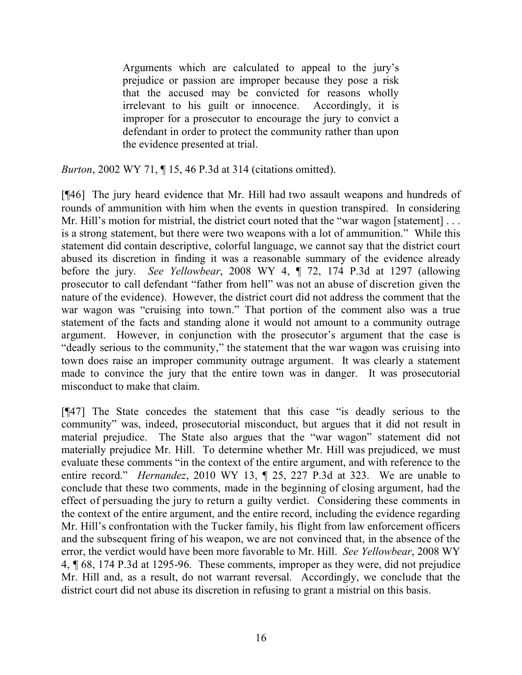Arguments which are calculated to appeal to the jury's prejudice or passion are improper because they pose a risk that the accused may be convicted for reasons wholly irrelevant to his guilt or innocence. Accordingly, it is improper for a prosecutor to encourage the jury to convict a defendant in order to protect the community rather than upon the evidence presented at trial.

*Burton*, 2002 WY 71, ¶ 15, 46 P.3d at 314 (citations omitted).

[¶46] The jury heard evidence that Mr. Hill had two assault weapons and hundreds of rounds of ammunition with him when the events in question transpired. In considering Mr. Hill's motion for mistrial, the district court noted that the "war wagon [statement] . . . is a strong statement, but there were two weapons with a lot of ammunition." While this statement did contain descriptive, colorful language, we cannot say that the district court abused its discretion in finding it was a reasonable summary of the evidence already before the jury. *See Yellowbear*, 2008 WY 4, ¶ 72, 174 P.3d at 1297 (allowing prosecutor to call defendant "father from hell" was not an abuse of discretion given the nature of the evidence). However, the district court did not address the comment that the war wagon was "cruising into town." That portion of the comment also was a true statement of the facts and standing alone it would not amount to a community outrage argument. However, in conjunction with the prosecutor's argument that the case is "deadly serious to the community," the statement that the war wagon was cruising into town does raise an improper community outrage argument. It was clearly a statement made to convince the jury that the entire town was in danger. It was prosecutorial misconduct to make that claim.

[¶47] The State concedes the statement that this case "is deadly serious to the community" was, indeed, prosecutorial misconduct, but argues that it did not result in material prejudice. The State also argues that the "war wagon" statement did not materially prejudice Mr. Hill. To determine whether Mr. Hill was prejudiced, we must evaluate these comments "in the context of the entire argument, and with reference to the entire record." *Hernandez*, 2010 WY 13, ¶ 25, 227 P.3d at 323. We are unable to conclude that these two comments, made in the beginning of closing argument, had the effect of persuading the jury to return a guilty verdict. Considering these comments in the context of the entire argument, and the entire record, including the evidence regarding Mr. Hill's confrontation with the Tucker family, his flight from law enforcement officers and the subsequent firing of his weapon, we are not convinced that, in the absence of the error, the verdict would have been more favorable to Mr. Hill. *See Yellowbear*, 2008 WY 4, ¶ 68, 174 P.3d at 1295-96. These comments, improper as they were, did not prejudice Mr. Hill and, as a result, do not warrant reversal. Accordingly, we conclude that the district court did not abuse its discretion in refusing to grant a mistrial on this basis.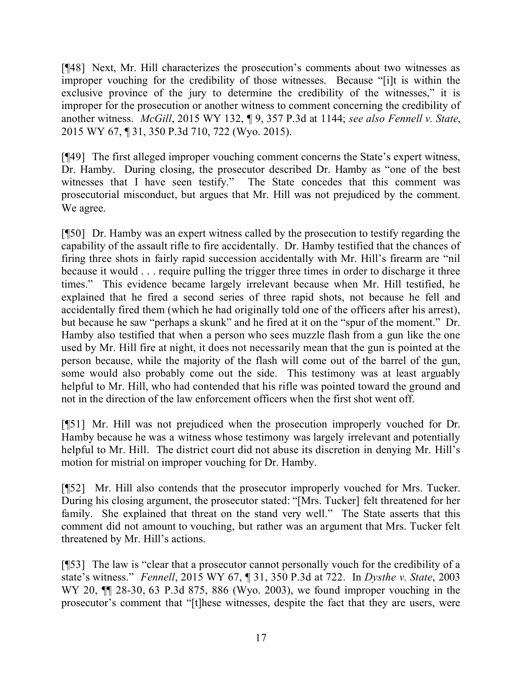[¶48] Next, Mr. Hill characterizes the prosecution's comments about two witnesses as improper vouching for the credibility of those witnesses. Because "[i]t is within the exclusive province of the jury to determine the credibility of the witnesses," it is improper for the prosecution or another witness to comment concerning the credibility of another witness. *McGill*, 2015 WY 132, ¶ 9, 357 P.3d at 1144; *see also Fennell v. State*, 2015 WY 67, ¶ 31, 350 P.3d 710, 722 (Wyo. 2015).

[¶49] The first alleged improper vouching comment concerns the State's expert witness, Dr. Hamby. During closing, the prosecutor described Dr. Hamby as "one of the best witnesses that I have seen testify." The State concedes that this comment was prosecutorial misconduct, but argues that Mr. Hill was not prejudiced by the comment. We agree.

[¶50] Dr. Hamby was an expert witness called by the prosecution to testify regarding the capability of the assault rifle to fire accidentally. Dr. Hamby testified that the chances of firing three shots in fairly rapid succession accidentally with Mr. Hill's firearm are "nil because it would . . . require pulling the trigger three times in order to discharge it three times." This evidence became largely irrelevant because when Mr. Hill testified, he explained that he fired a second series of three rapid shots, not because he fell and accidentally fired them (which he had originally told one of the officers after his arrest), but because he saw "perhaps a skunk" and he fired at it on the "spur of the moment." Dr. Hamby also testified that when a person who sees muzzle flash from a gun like the one used by Mr. Hill fire at night, it does not necessarily mean that the gun is pointed at the person because, while the majority of the flash will come out of the barrel of the gun, some would also probably come out the side. This testimony was at least arguably helpful to Mr. Hill, who had contended that his rifle was pointed toward the ground and not in the direction of the law enforcement officers when the first shot went off.

[¶51] Mr. Hill was not prejudiced when the prosecution improperly vouched for Dr. Hamby because he was a witness whose testimony was largely irrelevant and potentially helpful to Mr. Hill. The district court did not abuse its discretion in denying Mr. Hill's motion for mistrial on improper vouching for Dr. Hamby.

[¶52] Mr. Hill also contends that the prosecutor improperly vouched for Mrs. Tucker. During his closing argument, the prosecutor stated: "[Mrs. Tucker] felt threatened for her family. She explained that threat on the stand very well." The State asserts that this comment did not amount to vouching, but rather was an argument that Mrs. Tucker felt threatened by Mr. Hill's actions.

[¶53] The law is "clear that a prosecutor cannot personally vouch for the credibility of a state's witness." *Fennell*, 2015 WY 67, ¶ 31, 350 P.3d at 722. In *Dysthe v. State*, 2003 WY 20, ¶¶ 28-30, 63 P.3d 875, 886 (Wyo. 2003), we found improper vouching in the prosecutor's comment that "[t]hese witnesses, despite the fact that they are users, were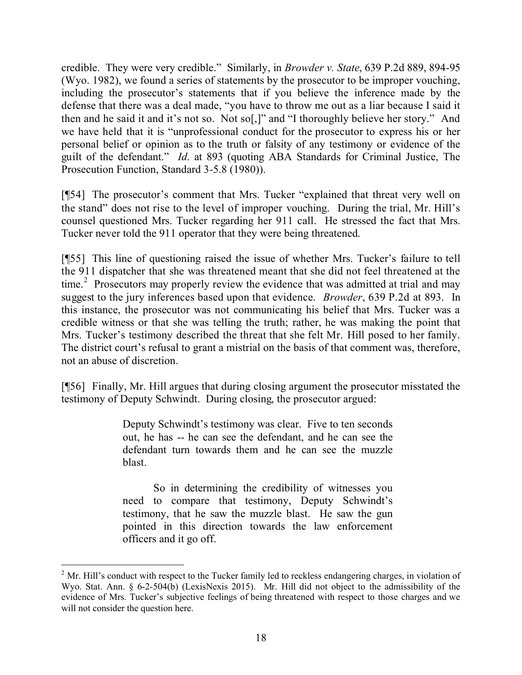credible. They were very credible." Similarly, in *Browder v. State*, 639 P.2d 889, 894-95 (Wyo. 1982), we found a series of statements by the prosecutor to be improper vouching, including the prosecutor's statements that if you believe the inference made by the defense that there was a deal made, "you have to throw me out as a liar because I said it then and he said it and it's not so. Not so[,]" and "I thoroughly believe her story." And we have held that it is "unprofessional conduct for the prosecutor to express his or her personal belief or opinion as to the truth or falsity of any testimony or evidence of the guilt of the defendant." *Id*. at 893 (quoting ABA Standards for Criminal Justice, The Prosecution Function, Standard 3-5.8 (1980)).

[¶54] The prosecutor's comment that Mrs. Tucker "explained that threat very well on the stand" does not rise to the level of improper vouching. During the trial, Mr. Hill's counsel questioned Mrs. Tucker regarding her 911 call. He stressed the fact that Mrs. Tucker never told the 911 operator that they were being threatened.

[¶55] This line of questioning raised the issue of whether Mrs. Tucker's failure to tell the 911 dispatcher that she was threatened meant that she did not feel threatened at the time.<sup>2</sup> Prosecutors may properly review the evidence that was admitted at trial and may suggest to the jury inferences based upon that evidence. *Browder*, 639 P.2d at 893. In this instance, the prosecutor was not communicating his belief that Mrs. Tucker was a credible witness or that she was telling the truth; rather, he was making the point that Mrs. Tucker's testimony described the threat that she felt Mr. Hill posed to her family. The district court's refusal to grant a mistrial on the basis of that comment was, therefore, not an abuse of discretion.

[¶56] Finally, Mr. Hill argues that during closing argument the prosecutor misstated the testimony of Deputy Schwindt. During closing, the prosecutor argued:

> Deputy Schwindt's testimony was clear. Five to ten seconds out, he has -- he can see the defendant, and he can see the defendant turn towards them and he can see the muzzle blast.

> So in determining the credibility of witnesses you need to compare that testimony, Deputy Schwindt's testimony, that he saw the muzzle blast. He saw the gun pointed in this direction towards the law enforcement officers and it go off.

  $2^2$  Mr. Hill's conduct with respect to the Tucker family led to reckless endangering charges, in violation of Wyo. Stat. Ann. § 6-2-504(b) (LexisNexis 2015). Mr. Hill did not object to the admissibility of the evidence of Mrs. Tucker's subjective feelings of being threatened with respect to those charges and we will not consider the question here.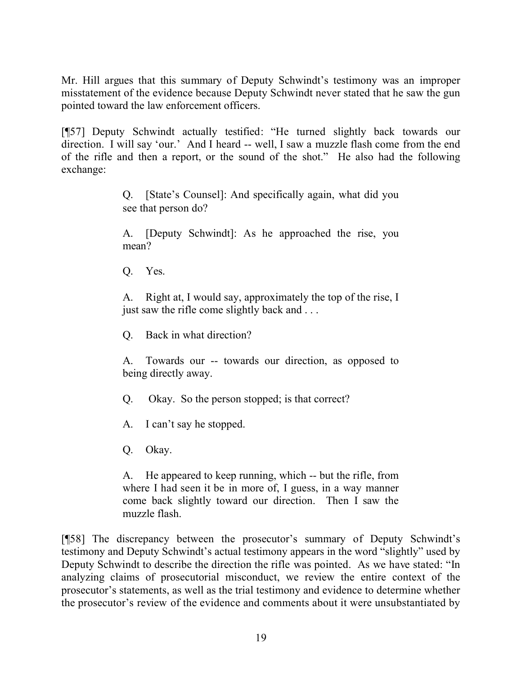Mr. Hill argues that this summary of Deputy Schwindt's testimony was an improper misstatement of the evidence because Deputy Schwindt never stated that he saw the gun pointed toward the law enforcement officers.

[¶57] Deputy Schwindt actually testified: "He turned slightly back towards our direction. I will say 'our.' And I heard -- well, I saw a muzzle flash come from the end of the rifle and then a report, or the sound of the shot." He also had the following exchange:

> Q. [State's Counsel]: And specifically again, what did you see that person do?

> A. [Deputy Schwindt]: As he approached the rise, you mean?

Q. Yes.

A. Right at, I would say, approximately the top of the rise, I just saw the rifle come slightly back and . . .

Q. Back in what direction?

A. Towards our -- towards our direction, as opposed to being directly away.

Q. Okay. So the person stopped; is that correct?

A. I can't say he stopped.

Q. Okay.

A. He appeared to keep running, which -- but the rifle, from where I had seen it be in more of, I guess, in a way manner come back slightly toward our direction. Then I saw the muzzle flash.

[¶58] The discrepancy between the prosecutor's summary of Deputy Schwindt's testimony and Deputy Schwindt's actual testimony appears in the word "slightly" used by Deputy Schwindt to describe the direction the rifle was pointed. As we have stated: "In analyzing claims of prosecutorial misconduct, we review the entire context of the prosecutor's statements, as well as the trial testimony and evidence to determine whether the prosecutor's review of the evidence and comments about it were unsubstantiated by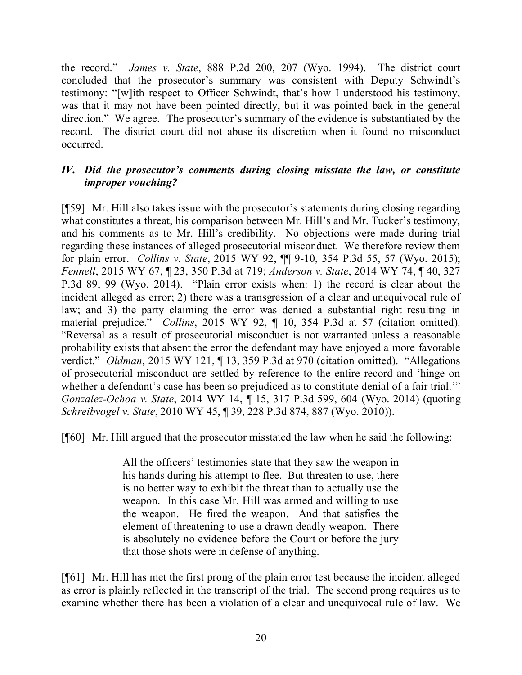the record." *James v. State*, 888 P.2d 200, 207 (Wyo. 1994). The district court concluded that the prosecutor's summary was consistent with Deputy Schwindt's testimony: "[w]ith respect to Officer Schwindt, that's how I understood his testimony, was that it may not have been pointed directly, but it was pointed back in the general direction." We agree. The prosecutor's summary of the evidence is substantiated by the record. The district court did not abuse its discretion when it found no misconduct occurred.

## *IV. Did the prosecutor's comments during closing misstate the law, or constitute improper vouching?*

[¶59] Mr. Hill also takes issue with the prosecutor's statements during closing regarding what constitutes a threat, his comparison between Mr. Hill's and Mr. Tucker's testimony, and his comments as to Mr. Hill's credibility. No objections were made during trial regarding these instances of alleged prosecutorial misconduct. We therefore review them for plain error. *Collins v. State*, 2015 WY 92, ¶¶ 9-10, 354 P.3d 55, 57 (Wyo. 2015); *Fennell*, 2015 WY 67, ¶ 23, 350 P.3d at 719; *Anderson v. State*, 2014 WY 74, ¶ 40, 327 P.3d 89, 99 (Wyo. 2014). "Plain error exists when: 1) the record is clear about the incident alleged as error; 2) there was a transgression of a clear and unequivocal rule of law; and 3) the party claiming the error was denied a substantial right resulting in material prejudice." *Collins*, 2015 WY 92, ¶ 10, 354 P.3d at 57 (citation omitted). "Reversal as a result of prosecutorial misconduct is not warranted unless a reasonable probability exists that absent the error the defendant may have enjoyed a more favorable verdict." *Oldman*, 2015 WY 121, ¶ 13, 359 P.3d at 970 (citation omitted). "Allegations of prosecutorial misconduct are settled by reference to the entire record and 'hinge on whether a defendant's case has been so prejudiced as to constitute denial of a fair trial." *Gonzalez-Ochoa v. State*, 2014 WY 14, ¶ 15, 317 P.3d 599, 604 (Wyo. 2014) (quoting *Schreibvogel v. State*, 2010 WY 45, ¶ 39, 228 P.3d 874, 887 (Wyo. 2010)).

[¶60] Mr. Hill argued that the prosecutor misstated the law when he said the following:

All the officers' testimonies state that they saw the weapon in his hands during his attempt to flee. But threaten to use, there is no better way to exhibit the threat than to actually use the weapon. In this case Mr. Hill was armed and willing to use the weapon. He fired the weapon. And that satisfies the element of threatening to use a drawn deadly weapon. There is absolutely no evidence before the Court or before the jury that those shots were in defense of anything.

[¶61] Mr. Hill has met the first prong of the plain error test because the incident alleged as error is plainly reflected in the transcript of the trial. The second prong requires us to examine whether there has been a violation of a clear and unequivocal rule of law. We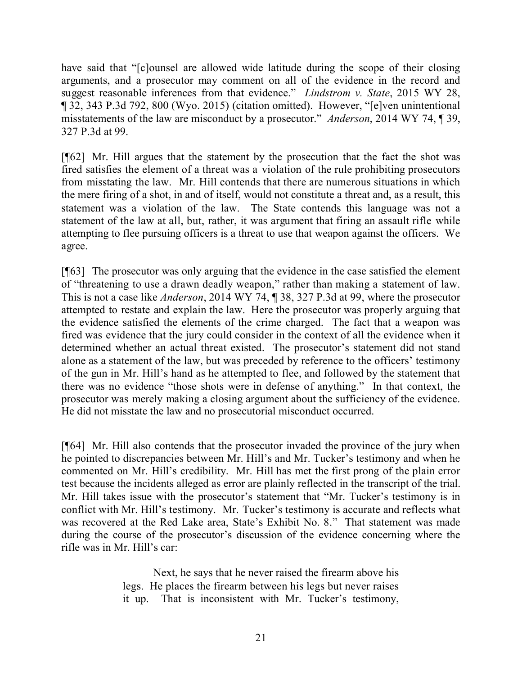have said that "[c]ounsel are allowed wide latitude during the scope of their closing arguments, and a prosecutor may comment on all of the evidence in the record and suggest reasonable inferences from that evidence." *Lindstrom v. State*, 2015 WY 28, ¶ 32, 343 P.3d 792, 800 (Wyo. 2015) (citation omitted). However, "[e]ven unintentional misstatements of the law are misconduct by a prosecutor." *Anderson*, 2014 WY 74, ¶ 39, 327 P.3d at 99.

[¶62] Mr. Hill argues that the statement by the prosecution that the fact the shot was fired satisfies the element of a threat was a violation of the rule prohibiting prosecutors from misstating the law. Mr. Hill contends that there are numerous situations in which the mere firing of a shot, in and of itself, would not constitute a threat and, as a result, this statement was a violation of the law. The State contends this language was not a statement of the law at all, but, rather, it was argument that firing an assault rifle while attempting to flee pursuing officers is a threat to use that weapon against the officers. We agree.

[¶63] The prosecutor was only arguing that the evidence in the case satisfied the element of "threatening to use a drawn deadly weapon," rather than making a statement of law. This is not a case like *Anderson*, 2014 WY 74, ¶ 38, 327 P.3d at 99, where the prosecutor attempted to restate and explain the law. Here the prosecutor was properly arguing that the evidence satisfied the elements of the crime charged. The fact that a weapon was fired was evidence that the jury could consider in the context of all the evidence when it determined whether an actual threat existed. The prosecutor's statement did not stand alone as a statement of the law, but was preceded by reference to the officers' testimony of the gun in Mr. Hill's hand as he attempted to flee, and followed by the statement that there was no evidence "those shots were in defense of anything." In that context, the prosecutor was merely making a closing argument about the sufficiency of the evidence. He did not misstate the law and no prosecutorial misconduct occurred.

[¶64] Mr. Hill also contends that the prosecutor invaded the province of the jury when he pointed to discrepancies between Mr. Hill's and Mr. Tucker's testimony and when he commented on Mr. Hill's credibility. Mr. Hill has met the first prong of the plain error test because the incidents alleged as error are plainly reflected in the transcript of the trial. Mr. Hill takes issue with the prosecutor's statement that "Mr. Tucker's testimony is in conflict with Mr. Hill's testimony. Mr. Tucker's testimony is accurate and reflects what was recovered at the Red Lake area, State's Exhibit No. 8." That statement was made during the course of the prosecutor's discussion of the evidence concerning where the rifle was in Mr. Hill's car:

> Next, he says that he never raised the firearm above his legs. He places the firearm between his legs but never raises it up. That is inconsistent with Mr. Tucker's testimony,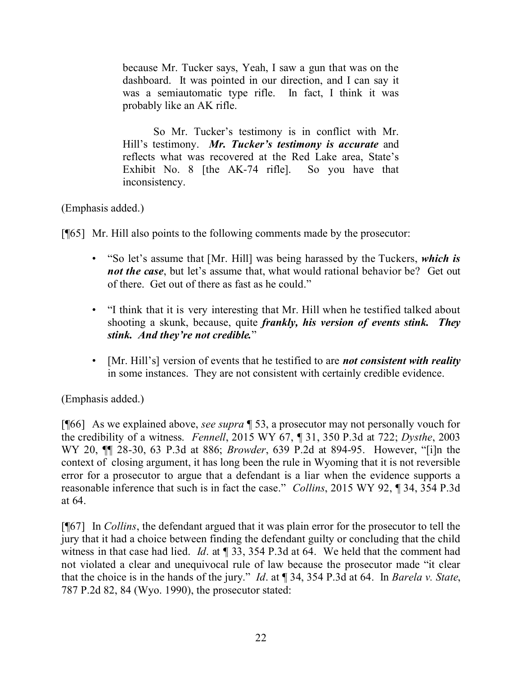because Mr. Tucker says, Yeah, I saw a gun that was on the dashboard. It was pointed in our direction, and I can say it was a semiautomatic type rifle. In fact, I think it was probably like an AK rifle.

So Mr. Tucker's testimony is in conflict with Mr. Hill's testimony. *Mr. Tucker's testimony is accurate* and reflects what was recovered at the Red Lake area, State's Exhibit No. 8 [the AK-74 rifle]. So you have that inconsistency.

## (Emphasis added.)

[¶65] Mr. Hill also points to the following comments made by the prosecutor:

- "So let's assume that [Mr. Hill] was being harassed by the Tuckers, *which is not the case*, but let's assume that, what would rational behavior be? Get out of there. Get out of there as fast as he could."
- "I think that it is very interesting that Mr. Hill when he testified talked about shooting a skunk, because, quite *frankly, his version of events stink. They stink. And they're not credible.*"
- [Mr. Hill's] version of events that he testified to are *not consistent with reality* in some instances. They are not consistent with certainly credible evidence.

# (Emphasis added.)

[¶66] As we explained above, *see supra* ¶ 53, a prosecutor may not personally vouch for the credibility of a witness. *Fennell*, 2015 WY 67, ¶ 31, 350 P.3d at 722; *Dysthe*, 2003 WY 20, ¶¶ 28-30, 63 P.3d at 886; *Browder*, 639 P.2d at 894-95. However, "[i]n the context of closing argument, it has long been the rule in Wyoming that it is not reversible error for a prosecutor to argue that a defendant is a liar when the evidence supports a reasonable inference that such is in fact the case." *Collins*, 2015 WY 92, ¶ 34, 354 P.3d at 64.

[¶67] In *Collins*, the defendant argued that it was plain error for the prosecutor to tell the jury that it had a choice between finding the defendant guilty or concluding that the child witness in that case had lied. *Id*. at ¶ 33, 354 P.3d at 64. We held that the comment had not violated a clear and unequivocal rule of law because the prosecutor made "it clear that the choice is in the hands of the jury." *Id*. at ¶ 34, 354 P.3d at 64. In *Barela v. State*, 787 P.2d 82, 84 (Wyo. 1990), the prosecutor stated: